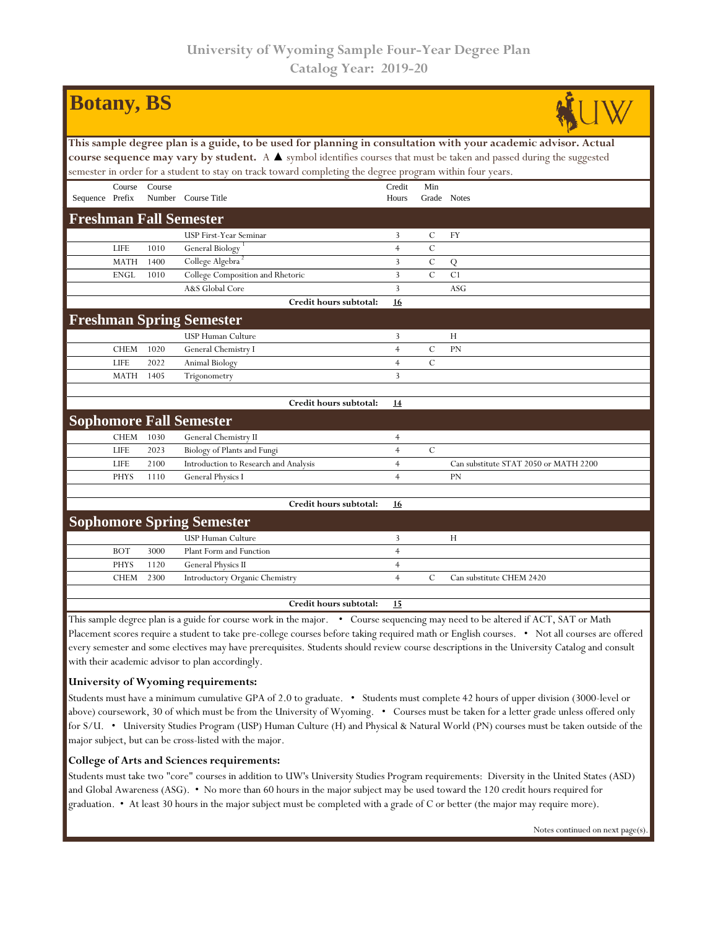| <b>Botany</b> , BS                                                                                                                                                                                                                 |             |        |                                       |                |               |                                       |  |  |  |  |  |
|------------------------------------------------------------------------------------------------------------------------------------------------------------------------------------------------------------------------------------|-------------|--------|---------------------------------------|----------------|---------------|---------------------------------------|--|--|--|--|--|
| This sample degree plan is a guide, to be used for planning in consultation with your academic advisor. Actual                                                                                                                     |             |        |                                       |                |               |                                       |  |  |  |  |  |
| course sequence may vary by student. A $\blacktriangle$ symbol identifies courses that must be taken and passed during the suggested                                                                                               |             |        |                                       |                |               |                                       |  |  |  |  |  |
| semester in order for a student to stay on track toward completing the degree program within four years.                                                                                                                           |             |        |                                       |                |               |                                       |  |  |  |  |  |
|                                                                                                                                                                                                                                    | Course      | Course |                                       | Credit         | Min           |                                       |  |  |  |  |  |
| Sequence Prefix                                                                                                                                                                                                                    |             |        | Number Course Title                   | Hours          | Grade Notes   |                                       |  |  |  |  |  |
| <b>Freshman Fall Semester</b>                                                                                                                                                                                                      |             |        |                                       |                |               |                                       |  |  |  |  |  |
|                                                                                                                                                                                                                                    |             |        | USP First-Year Seminar                | 3              | $\mathbf C$   | FY                                    |  |  |  |  |  |
|                                                                                                                                                                                                                                    | <b>LIFE</b> | 1010   | General Biology <sup>1</sup>          | $\overline{4}$ | $\mathcal{C}$ |                                       |  |  |  |  |  |
|                                                                                                                                                                                                                                    | <b>MATH</b> | 1400   | College Algebra                       | 3              | $\cal C$      | Q                                     |  |  |  |  |  |
|                                                                                                                                                                                                                                    | <b>ENGL</b> | 1010   | College Composition and Rhetoric      | 3              | $\mathcal{C}$ | C1                                    |  |  |  |  |  |
|                                                                                                                                                                                                                                    |             |        | A&S Global Core                       | 3              |               | ASG                                   |  |  |  |  |  |
|                                                                                                                                                                                                                                    |             |        | Credit hours subtotal:                | 16             |               |                                       |  |  |  |  |  |
|                                                                                                                                                                                                                                    |             |        | <b>Freshman Spring Semester</b>       |                |               |                                       |  |  |  |  |  |
|                                                                                                                                                                                                                                    |             |        | USP Human Culture                     | 3              |               | H                                     |  |  |  |  |  |
|                                                                                                                                                                                                                                    | <b>CHEM</b> | 1020   | General Chemistry I                   | $\overline{4}$ | $\mathcal{C}$ | PN                                    |  |  |  |  |  |
|                                                                                                                                                                                                                                    | <b>LIFE</b> | 2022   | Animal Biology                        | $\overline{4}$ | $\mathbf C$   |                                       |  |  |  |  |  |
|                                                                                                                                                                                                                                    | <b>MATH</b> | 1405   | Trigonometry                          | 3              |               |                                       |  |  |  |  |  |
|                                                                                                                                                                                                                                    |             |        |                                       |                |               |                                       |  |  |  |  |  |
|                                                                                                                                                                                                                                    |             |        | Credit hours subtotal:                | <u>14</u>      |               |                                       |  |  |  |  |  |
|                                                                                                                                                                                                                                    |             |        | <b>Sophomore Fall Semester</b>        |                |               |                                       |  |  |  |  |  |
|                                                                                                                                                                                                                                    | <b>CHEM</b> | 1030   | General Chemistry II                  | $\overline{4}$ |               |                                       |  |  |  |  |  |
|                                                                                                                                                                                                                                    | <b>LIFE</b> | 2023   | Biology of Plants and Fungi           | $\overline{4}$ | $\mathbf C$   |                                       |  |  |  |  |  |
|                                                                                                                                                                                                                                    | <b>LIFE</b> | 2100   | Introduction to Research and Analysis | $\overline{4}$ |               | Can substitute STAT 2050 or MATH 2200 |  |  |  |  |  |
|                                                                                                                                                                                                                                    | <b>PHYS</b> | 1110   | General Physics I                     | $\overline{4}$ |               | PN                                    |  |  |  |  |  |
|                                                                                                                                                                                                                                    |             |        | Credit hours subtotal:                | <u>16</u>      |               |                                       |  |  |  |  |  |
| <b>Sophomore Spring Semester</b>                                                                                                                                                                                                   |             |        |                                       |                |               |                                       |  |  |  |  |  |
|                                                                                                                                                                                                                                    |             |        | <b>USP Human Culture</b>              | 3              |               | H                                     |  |  |  |  |  |
|                                                                                                                                                                                                                                    | <b>BOT</b>  | 3000   | Plant Form and Function               | $\overline{4}$ |               |                                       |  |  |  |  |  |
|                                                                                                                                                                                                                                    | <b>PHYS</b> | 1120   | General Physics II                    | $\overline{4}$ |               |                                       |  |  |  |  |  |
|                                                                                                                                                                                                                                    | <b>CHEM</b> | 2300   | Introductory Organic Chemistry        | $\overline{4}$ | $\mathcal{C}$ | Can substitute CHEM 2420              |  |  |  |  |  |
|                                                                                                                                                                                                                                    |             |        |                                       |                |               |                                       |  |  |  |  |  |
|                                                                                                                                                                                                                                    |             |        | Credit hours subtotal:                | 15             |               |                                       |  |  |  |  |  |
| This sample degree plan is a guide for course work in the major. • Course sequencing may need to be altered if ACT, SAT or Math                                                                                                    |             |        |                                       |                |               |                                       |  |  |  |  |  |
| Placement scores require a student to take pre-college courses before taking required math or English courses. . Not all courses are offered<br>$\mu = 1$ , $\mu = 1$ , $\mu = 0, 1, 1, 1, 1, \ldots$ , $\mu = 0, 1, 1, 1, \ldots$ |             |        |                                       |                |               |                                       |  |  |  |  |  |

every semester and some electives may have prerequisites. Students should review course descriptions in the University Catalog and consult with their academic advisor to plan accordingly.

## **University of Wyoming requirements:**

Students must have a minimum cumulative GPA of 2.0 to graduate. • Students must complete 42 hours of upper division (3000-level or above) coursework, 30 of which must be from the University of Wyoming. • Courses must be taken for a letter grade unless offered only for S/U. • University Studies Program (USP) Human Culture (H) and Physical & Natural World (PN) courses must be taken outside of the major subject, but can be cross-listed with the major.

## **College of Arts and Sciences requirements:**

Students must take two "core" courses in addition to UW's University Studies Program requirements: Diversity in the United States (ASD) and Global Awareness (ASG). • No more than 60 hours in the major subject may be used toward the 120 credit hours required for graduation. • At least 30 hours in the major subject must be completed with a grade of C or better (the major may require more).